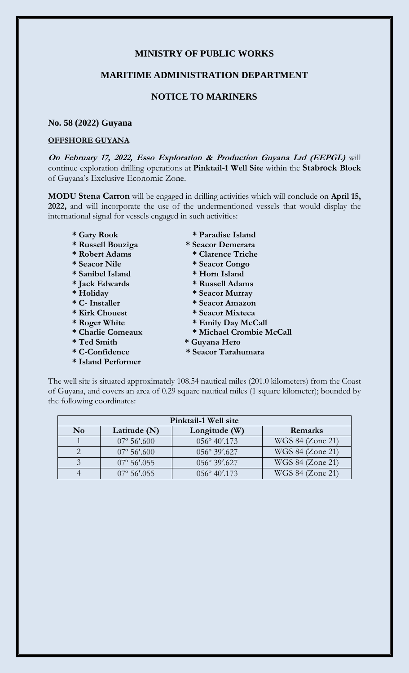## **MINISTRY OF PUBLIC WORKS**

### **MARITIME ADMINISTRATION DEPARTMENT**

# **NOTICE TO MARINERS**

#### **No. 58 (2022) Guyana**

#### **OFFSHORE GUYANA**

**On February 17, 2022, Esso Exploration & Production Guyana Ltd (EEPGL)** will continue exploration drilling operations at **Pinktail-1 Well Site** within the **Stabroek Block** of Guyana's Exclusive Economic Zone.

**MODU Stena Carron** will be engaged in drilling activities which will conclude on **April 15, 2022,** and will incorporate the use of the undermentioned vessels that would display the international signal for vessels engaged in such activities:

- 
- **\* Russell Bouziga \* Seacor Demerara**
- **\* Robert Adams \* Clarence Triche**
- 
- **\* Sanibel Island \* Horn Island**
- 
- 
- 
- 
- 
- 
- 
- 
- **\* Island Performer**
- **\* Gary Rook \* Paradise Island**
	-
	-
- **\* Seacor Nile \* Seacor Congo**
	-
- **\* Jack Edwards \* Russell Adams**
- **\* Holiday \* Seacor Murray**
- **\* C- Installer \* Seacor Amazon**
- **\* Kirk Chouest \* Seacor Mixteca**
- \* Roger White \* Emily Day McCall
- **\* Charlie Comeaux \* Michael Crombie McCall**
- **\* Ted Smith \* Guyana Hero**
- **\* C-Confidence \* Seacor Tarahumara**

The well site is situated approximately 108.54 nautical miles (201.0 kilometers) from the Coast of Guyana, and covers an area of 0.29 square nautical miles (1 square kilometer); bounded by the following coordinates:

| Pinktail-1 Well site |                        |                       |                  |
|----------------------|------------------------|-----------------------|------------------|
| $\bf No$             | Latitude $(N)$         | Longitude (W)         | Remarks          |
|                      | $07^{\circ} 56'$ .600  | 056° 40'.173          | WGS 84 (Zone 21) |
|                      | $07^{\circ}$ 56'.600   | 056° 39'.627          | WGS 84 (Zone 21) |
|                      | $07^{\circ}$ 56'.055   | 056° 39'.627          | WGS 84 (Zone 21) |
|                      | $07^{\circ} 56' 0.055$ | $056^{\circ}$ 40'.173 | WGS 84 (Zone 21) |